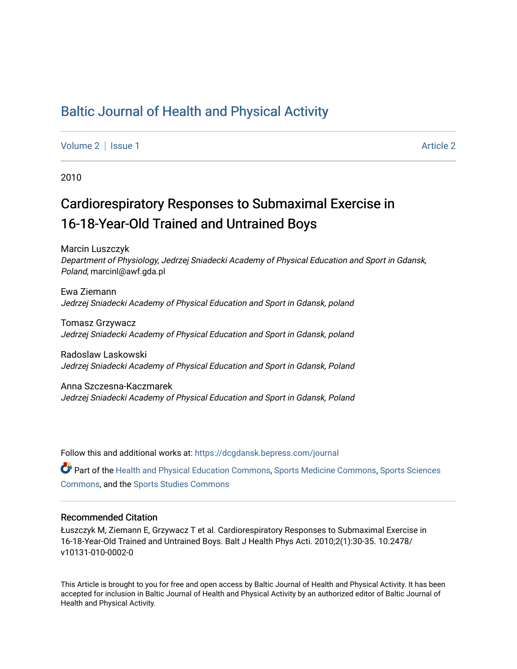## [Baltic Journal of Health and Physical Activity](https://dcgdansk.bepress.com/journal)

[Volume 2](https://dcgdansk.bepress.com/journal/vol2) | [Issue 1](https://dcgdansk.bepress.com/journal/vol2/iss1) [Article 2](https://dcgdansk.bepress.com/journal/vol2/iss1/2) | Article 2 Article 2 | Article 2 | Article 2 | Article 2 | Article 2 | Article 2

2010

# Cardiorespiratory Responses to Submaximal Exercise in 16-18-Year-Old Trained and Untrained Boys

Marcin Luszczyk Department of Physiology, Jedrzej Sniadecki Academy of Physical Education and Sport in Gdansk, Poland, marcinl@awf.gda.pl

Ewa Ziemann Jedrzej Sniadecki Academy of Physical Education and Sport in Gdansk, poland

Tomasz Grzywacz Jedrzej Sniadecki Academy of Physical Education and Sport in Gdansk, poland

Radoslaw Laskowski Jedrzej Sniadecki Academy of Physical Education and Sport in Gdansk, Poland

Anna Szczesna-Kaczmarek Jedrzej Sniadecki Academy of Physical Education and Sport in Gdansk, Poland

Follow this and additional works at: [https://dcgdansk.bepress.com/journal](https://dcgdansk.bepress.com/journal?utm_source=dcgdansk.bepress.com%2Fjournal%2Fvol2%2Fiss1%2F2&utm_medium=PDF&utm_campaign=PDFCoverPages)

Part of the [Health and Physical Education Commons](http://network.bepress.com/hgg/discipline/1327?utm_source=dcgdansk.bepress.com%2Fjournal%2Fvol2%2Fiss1%2F2&utm_medium=PDF&utm_campaign=PDFCoverPages), [Sports Medicine Commons,](http://network.bepress.com/hgg/discipline/1331?utm_source=dcgdansk.bepress.com%2Fjournal%2Fvol2%2Fiss1%2F2&utm_medium=PDF&utm_campaign=PDFCoverPages) [Sports Sciences](http://network.bepress.com/hgg/discipline/759?utm_source=dcgdansk.bepress.com%2Fjournal%2Fvol2%2Fiss1%2F2&utm_medium=PDF&utm_campaign=PDFCoverPages) [Commons](http://network.bepress.com/hgg/discipline/759?utm_source=dcgdansk.bepress.com%2Fjournal%2Fvol2%2Fiss1%2F2&utm_medium=PDF&utm_campaign=PDFCoverPages), and the [Sports Studies Commons](http://network.bepress.com/hgg/discipline/1198?utm_source=dcgdansk.bepress.com%2Fjournal%2Fvol2%2Fiss1%2F2&utm_medium=PDF&utm_campaign=PDFCoverPages) 

#### Recommended Citation

Łuszczyk M, Ziemann E, Grzywacz T et al. Cardiorespiratory Responses to Submaximal Exercise in 16-18-Year-Old Trained and Untrained Boys. Balt J Health Phys Acti. 2010;2(1):30-35. 10.2478/ v10131-010-0002-0

This Article is brought to you for free and open access by Baltic Journal of Health and Physical Activity. It has been accepted for inclusion in Baltic Journal of Health and Physical Activity by an authorized editor of Baltic Journal of Health and Physical Activity.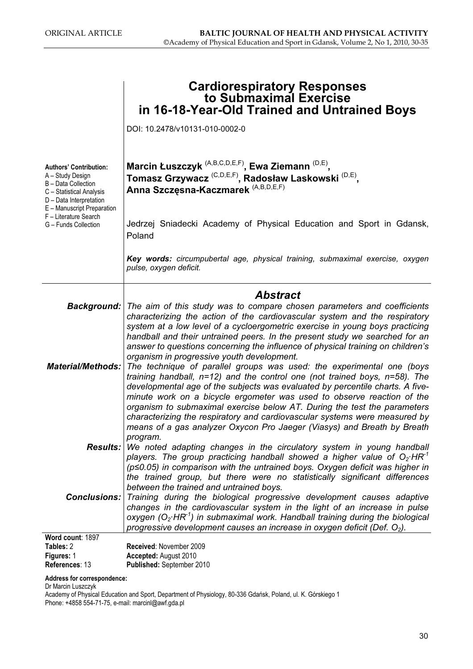|                                                                                                                                                                                                                | <b>Cardiorespiratory Responses</b><br>to Submaximal Exercise<br>in 16-18-Year-Old Trained and Untrained Boys                                                                                                                                                                                                                                                                                                                                                                                                                                                                                            |
|----------------------------------------------------------------------------------------------------------------------------------------------------------------------------------------------------------------|---------------------------------------------------------------------------------------------------------------------------------------------------------------------------------------------------------------------------------------------------------------------------------------------------------------------------------------------------------------------------------------------------------------------------------------------------------------------------------------------------------------------------------------------------------------------------------------------------------|
|                                                                                                                                                                                                                | DOI: 10.2478/v10131-010-0002-0                                                                                                                                                                                                                                                                                                                                                                                                                                                                                                                                                                          |
| <b>Authors' Contribution:</b><br>A - Study Design<br>B - Data Collection<br>C - Statistical Analysis<br>D - Data Interpretation<br>E - Manuscript Preparation<br>F - Literature Search<br>G - Funds Collection | Marcin Łuszczyk <sup>(A,B,C,D,E,F)</sup> , Ewa Ziemann <sup>(D,E)</sup> ,<br>Tomasz Grzywacz <sup>(C,D,E,F)</sup> , Radosław Laskowski <sup>(D,E)</sup> ,<br>Anna Szczęsna-Kaczmarek <sup>(A,B,D,E,F)</sup>                                                                                                                                                                                                                                                                                                                                                                                             |
|                                                                                                                                                                                                                | Jedrzej Sniadecki Academy of Physical Education and Sport in Gdansk,<br>Poland                                                                                                                                                                                                                                                                                                                                                                                                                                                                                                                          |
|                                                                                                                                                                                                                | Key words: circumpubertal age, physical training, submaximal exercise, oxygen<br>pulse, oxygen deficit.                                                                                                                                                                                                                                                                                                                                                                                                                                                                                                 |
|                                                                                                                                                                                                                | <b>Abstract</b>                                                                                                                                                                                                                                                                                                                                                                                                                                                                                                                                                                                         |
| Background:                                                                                                                                                                                                    | The aim of this study was to compare chosen parameters and coefficients<br>characterizing the action of the cardiovascular system and the respiratory<br>system at a low level of a cycloergometric exercise in young boys practicing<br>handball and their untrained peers. In the present study we searched for an<br>answer to questions concerning the influence of physical training on children's                                                                                                                                                                                                 |
| <b>Material/Methods:</b>                                                                                                                                                                                       | organism in progressive youth development.<br>The technique of parallel groups was used: the experimental one (boys<br>training handball, $n=12$ ) and the control one (not trained boys, $n=58$ ). The<br>developmental age of the subjects was evaluated by percentile charts. A five-<br>minute work on a bicycle ergometer was used to observe reaction of the<br>organism to submaximal exercise below AT. During the test the parameters<br>characterizing the respiratory and cardiovascular systems were measured by<br>means of a gas analyzer Oxycon Pro Jaeger (Viasys) and Breath by Breath |
|                                                                                                                                                                                                                | program.<br><b>Results:</b> We noted adapting changes in the circulatory system in young handball                                                                                                                                                                                                                                                                                                                                                                                                                                                                                                       |
| <b>Conclusions:</b>                                                                                                                                                                                            | players. The group practicing handball showed a higher value of $O_2$ ·HR <sup>-1</sup><br>$(p \le 0.05)$ in comparison with the untrained boys. Oxygen deficit was higher in<br>the trained group, but there were no statistically significant differences<br>between the trained and untrained boys.<br>Training during the biological progressive development causes adaptive<br>changes in the cardiovascular system in the light of an increase in pulse<br>oxygen ( $O_2$ ·HR <sup>-1</sup> ) in submaximal work. Handball training during the biological                                         |
| Word count: 1897                                                                                                                                                                                               | progressive development causes an increase in oxygen deficit (Def. $O_2$ ).                                                                                                                                                                                                                                                                                                                                                                                                                                                                                                                             |
| Tables: 2<br>Figures: 1                                                                                                                                                                                        | Received: November 2009<br>Accepted: August 2010                                                                                                                                                                                                                                                                                                                                                                                                                                                                                                                                                        |
| References: 13<br>Address for correspondence:                                                                                                                                                                  | Published: September 2010                                                                                                                                                                                                                                                                                                                                                                                                                                                                                                                                                                               |

Dr Marcin Luszczyk

Academy of Physical Education and Sport, Department of Physiology, 80-336 Gdańsk, Poland, ul. K. Górskiego 1 Phone: +4858 554-71-75, e-mail: marcinl@awf.gda.pl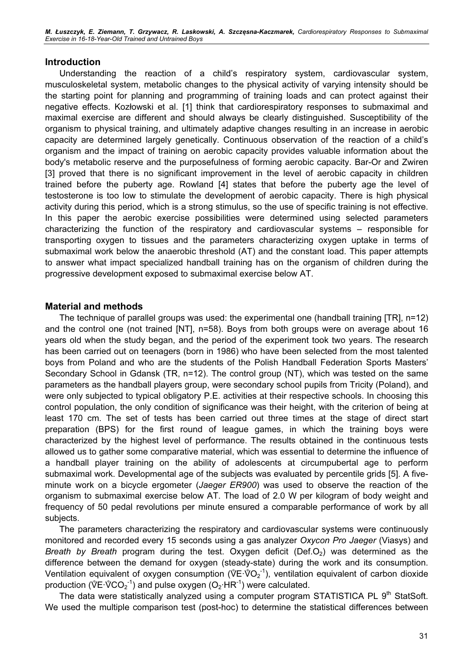M. Łuszczyk, E. Ziemann, T. Grzywacz, R. Laskowski, A. Szczęsna-Kaczmarek, Cardiorespiratory Responses to Submaximal Exercise in 16-18-Year-Old Trained and Untrained Boys

#### Introduction

Understanding the reaction of a child's respiratory system, cardiovascular system, musculoskeletal system, metabolic changes to the physical activity of varying intensity should be the starting point for planning and programming of training loads and can protect against their negative effects. Kozłowski et al. [1] think that cardiorespiratory responses to submaximal and maximal exercise are different and should always be clearly distinguished. Susceptibility of the organism to physical training, and ultimately adaptive changes resulting in an increase in aerobic capacity are determined largely genetically. Continuous observation of the reaction of a child's organism and the impact of training on aerobic capacity provides valuable information about the body's metabolic reserve and the purposefulness of forming aerobic capacity. Bar-Or and Zwiren [3] proved that there is no significant improvement in the level of aerobic capacity in children trained before the puberty age. Rowland [4] states that before the puberty age the level of testosterone is too low to stimulate the development of aerobic capacity. There is high physical activity during this period, which is a strong stimulus, so the use of specific training is not effective. In this paper the aerobic exercise possibilities were determined using selected parameters characterizing the function of the respiratory and cardiovascular systems – responsible for transporting oxygen to tissues and the parameters characterizing oxygen uptake in terms of submaximal work below the anaerobic threshold (AT) and the constant load. This paper attempts to answer what impact specialized handball training has on the organism of children during the progressive development exposed to submaximal exercise below AT.

#### Material and methods

The technique of parallel groups was used: the experimental one (handball training [TR], n=12) and the control one (not trained [NT], n=58). Boys from both groups were on average about 16 years old when the study began, and the period of the experiment took two years. The research has been carried out on teenagers (born in 1986) who have been selected from the most talented boys from Poland and who are the students of the Polish Handball Federation Sports Masters' Secondary School in Gdansk (TR, n=12). The control group (NT), which was tested on the same parameters as the handball players group, were secondary school pupils from Tricity (Poland), and were only subjected to typical obligatory P.E. activities at their respective schools. In choosing this control population, the only condition of significance was their height, with the criterion of being at least 170 cm. The set of tests has been carried out three times at the stage of direct start preparation (BPS) for the first round of league games, in which the training boys were characterized by the highest level of performance. The results obtained in the continuous tests allowed us to gather some comparative material, which was essential to determine the influence of a handball player training on the ability of adolescents at circumpubertal age to perform submaximal work. Developmental age of the subjects was evaluated by percentile grids [5]. A fiveminute work on a bicycle ergometer (Jaeger ER900) was used to observe the reaction of the organism to submaximal exercise below AT. The load of 2.0 W per kilogram of body weight and frequency of 50 pedal revolutions per minute ensured a comparable performance of work by all subjects.

The parameters characterizing the respiratory and cardiovascular systems were continuously monitored and recorded every 15 seconds using a gas analyzer Oxycon Pro Jaeger (Viasys) and Breath by Breath program during the test. Oxygen deficit (Def.O<sub>2</sub>) was determined as the difference between the demand for oxygen (steady-state) during the work and its consumption. *Breath by Breath* program during the test. Oxygen deficit (Def.O<sub>2</sub>) was determined as the difference between the demand for oxygen (steady-state) during the work and its consumption. Ventilation equivalent of oxygen con difference betwe<br>Ventilation equiva<br>production (VE·V  $CO_2^{-1}$ ) and pulse oxygen  $(O_2$ ·HR<sup>-1</sup>) were calculated.

The data were statistically analyzed using a computer program STATISTICA PL 9<sup>th</sup> StatSoft. We used the multiple comparison test (post-hoc) to determine the statistical differences between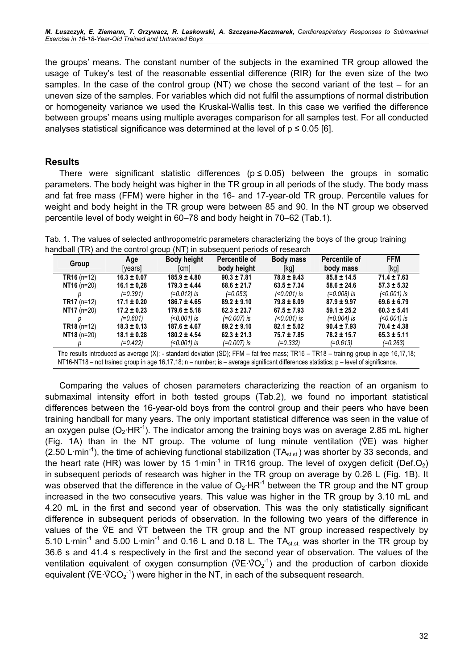M. Łuszczyk, E. Ziemann, T. Grzywacz, R. Laskowski, A. Szczęsna-Kaczmarek, Cardiorespiratory Responses to Submaximal Exercise in 16-18-Year-Old Trained and Untrained Boys

the groups' means. The constant number of the subjects in the examined TR group allowed the usage of Tukey's test of the reasonable essential difference (RIR) for the even size of the two samples. In the case of the control group (NT) we chose the second variant of the test – for an uneven size of the samples. For variables which did not fulfil the assumptions of normal distribution or homogeneity variance we used the Kruskal-Wallis test. In this case we verified the difference between groups' means using multiple averages comparison for all samples test. For all conducted analyses statistical significance was determined at the level of  $p \le 0.05$  [6].

#### Results

There were significant statistic differences ( $p \le 0.05$ ) between the groups in somatic parameters. The body height was higher in the TR group in all periods of the study. The body mass and fat free mass (FFM) were higher in the 16- and 17-year-old TR group. Percentile values for weight and body height in the TR group were between 85 and 90. In the NT group we observed percentile level of body weight in 60–78 and body height in 70–62 (Tab.1).

Tab. 1. The values of selected anthropometric parameters characterizing the boys of the group training handball (TR) and the control group (NT) in subsequent periods of research

| Group         | Age<br>[years]  | <b>Body height</b><br>[cm] | <b>Percentile of</b><br>body height | <b>Body mass</b><br>[kg] | <b>Percentile of</b><br>body mass | <b>FFM</b><br>[kg] |
|---------------|-----------------|----------------------------|-------------------------------------|--------------------------|-----------------------------------|--------------------|
| $TR16(n=12)$  | $16.3 \pm 0.07$ | $185.9 \pm 4.80$           | $90.3 \pm 7.81$                     | $78.8 \pm 9.43$          | $85.8 \pm 14.5$                   | $71.4 \pm 7.63$    |
| $NT16$ (n=20) | $16.1 \pm 0.28$ | $179.3 \pm 4.44$           | $68.6 \pm 21.7$                     | $63.5 \pm 7.34$          | $58.6 \pm 24.6$                   | $57.3 \pm 5.32$    |
|               | (=0.391)        | $(=0.012)$ is              | $(=0.053)$                          | $(0.001)$ is             | $(=0.008)$ is                     | $(0.001)$ is       |
| $TR17(n=12)$  | $17.1 \pm 0.20$ | $186.7 \pm 4.65$           | $89.2 \pm 9.10$                     | $79.8 \pm 8.09$          | $87.9 \pm 9.97$                   | $69.6 \pm 6.79$    |
| $NT17 (n=20)$ | $17.2 \pm 0.23$ | $179.6 \pm 5.18$           | $62.3 \pm 23.7$                     | $67.5 \pm 7.93$          | $59.1 \pm 25.2$                   | $60.3 \pm 5.41$    |
|               | $(=0.601)$      | $(0.001)$ is               | $(=0.007)$ is                       | $(0.001)$ is             | $(=0.004)$ is                     | $(0.001)$ is       |
| $TR18(n=12)$  | $18.3 \pm 0.13$ | $187.6 \pm 4.67$           | $89.2 \pm 9.10$                     | $82.1 \pm 5.02$          | $90.4 \pm 7.93$                   | $70.4 \pm 4.38$    |
| $NT18$ (n=20) | $18.1 \pm 0.28$ | $180.2 \pm 4.54$           | $62.3 \pm 21.3$                     | 75.7 ± 7.85              | 78.2 ± 15.7                       | $65.3 \pm 5.11$    |
|               | $(=0.422)$      | $(0.001)$ is               | (=0.007) is                         | $(=0.332)$               | $(=0.613)$                        | $(=0.263)$         |

The results introduced as average (X); - standard deviation (SD); FFM – fat free mass; TR16 – TR18 – training group in age 16,17,18; NT16-NT18 – not trained group in age 16,17,18; n – number; is – average significant differences statistics; p – level of significance.

Comparing the values of chosen parameters characterizing the reaction of an organism to submaximal intensity effort in both tested groups (Tab.2), we found no important statistical differences between the 16-year-old boys from the control group and their peers who have been training handball for many years. The only important statistical difference was seen in the value of an oxygen pulse  $(O_2 \cdot HR^{-1})$ . The indicator among the training boys was on average 2.85 mL higher training handball for many years. The only important statistical difference was seen in the value of an oxygen pulse  $(O_2 \cdot HR^{-1})$ . The indicator among the training boys was on average 2.85 mL higher (Fig. 1A) than in the N (2.50 L·min<sup>-1</sup>), the time of achieving functional stabilization (TA<sub>st st</sub>) was shorter by 33 seconds, and the heart rate (HR) was lower by 15 1 $\cdot$ min<sup>-1</sup> in TR16 group. The level of oxygen deficit (Def.O<sub>2</sub>) in subsequent periods of research was higher in the TR group on average by 0.26 L (Fig. 1B). It was observed that the difference in the value of  $O_2$ ·HR<sup>-1</sup> between the TR group and the NT group increased in the two consecutive years. This value was higher in the TR group by 3.10 mL and 4.20 mL in the first and second year of observation. This was the only statistically significant difference in subsequent periods of observation. In the following two years of the difference in values of the  $\sqrt[6]{E}$  and difference in subsequent periods of observation. In the following two years of the difference in values of the  $\sqrt[6]{E}$  and  $\sqrt[6]{T}$  between the TR group and the NT group increased respectively by 5.10 L·min<sup>-1</sup> and 5.00 L·min<sup>-1</sup> and 0.16 L and 0.18 L. The TA<sub>st.st</sub> was shorter in the TR group by 36.6 s and 41.4 s respectively in the first and the second year of observation. The values of the ventilation equivalen 36.6 s and 41.4 s respectively in the first and the second year of observation. The values of the  $O_2^{-1}$ ) and the production of carbon dioxide enter and 41.4<br>
ventilation equiv<br>
equivalent (VE·V  $CO_2^{-1}$ ) were higher in the NT, in each of the subsequent research.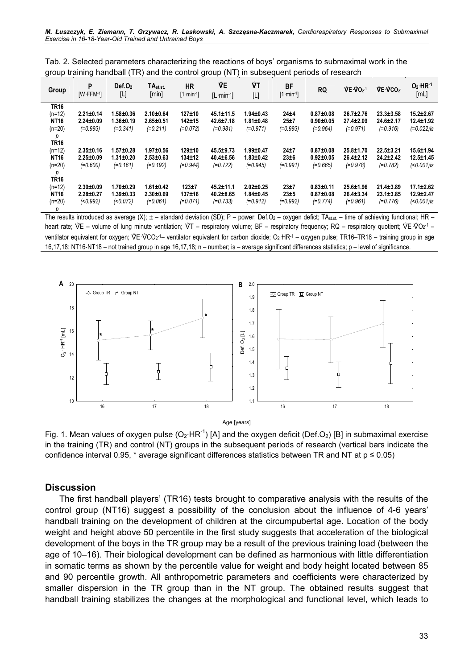|                                                                                                       | $Def.$ O <sub>2</sub> | TA <sub>st</sub> | <b>HR</b> |  |  | $-2 - 2 - 2$ | $-2 - 2 - 2$ |  |
|-------------------------------------------------------------------------------------------------------|-----------------------|------------------|-----------|--|--|--------------|--------------|--|
| group training handball (TR) and the control group (NT) in subsequent periods of research             |                       |                  |           |  |  |              |              |  |
| Tab. 2. Selected parameters characterizing the reactions of boys' organisms to submaximal work in the |                       |                  |           |  |  |              |              |  |

| group training handball (TR)<br>and the control group (NT) in subsequent periods of research |                                                  |                                        |                                                |                                 |                                            |                                                  |                                  |                                                |                                            |                                            |                                               |
|----------------------------------------------------------------------------------------------|--------------------------------------------------|----------------------------------------|------------------------------------------------|---------------------------------|--------------------------------------------|--------------------------------------------------|----------------------------------|------------------------------------------------|--------------------------------------------|--------------------------------------------|-----------------------------------------------|
| Group                                                                                        | P<br>IW FFM <sup>-1</sup>                        | Def. O <sub>2</sub><br>$[{\mathsf L}]$ | TA <sub>st.st</sub><br>[min]                   | HR<br>$[1 \text{ min-1}]$       | ŴΕ<br>$[L \cdot min^{-1}]$                 | ŴΤ<br>$[ \mathsf{L} ]$                           | <b>BF</b><br>$[1 \text{ min-1}]$ | <b>RQ</b>                                      | VE VO <sub>2-1</sub>                       | VE VCO <sub>2</sub>                        | $O2$ HR <sup>-1</sup><br>[ML]                 |
| <b>TR16</b><br>$(n=12)$<br><b>NT16</b><br>$(n=20)$                                           | $2.21 \pm 0.14$<br>$2.24 \pm 0.09$<br>$(=0.993)$ | 1.58±0.36<br>1.36±0.19<br>$(=0.341)$   | $2.10 + 0.64$<br>$2.65 \pm 0.51$<br>$(=0.211)$ | 127±10<br>142±15<br>$(=0.072)$  | 45.1±11.5<br>42.6±7.18<br>$(=0.981)$       | $1.94 \pm 0.43$<br>$1.81 \pm 0.48$<br>$(=0.971)$ | 24±4<br>25±7<br>$(=0.993)$       | $0.87 + 0.08$<br>$0.90 + 0.05$<br>$(=0.964)$   | $26.7 \pm 2.76$<br>27.4±2.09<br>$(=0.971)$ | $23.3 \pm 3.58$<br>24.6±2.17<br>$(=0.916)$ | 15.2±2.67<br>$12.4 \pm 1.92$<br>$(=0.022)$ is |
| р<br><b>TR16</b><br>$(n=12)$<br><b>NT16</b><br>$(n=20)$                                      | $2.35 \pm 0.16$<br>$2.25 \pm 0.09$<br>$(=0.600)$ | 1.57±0.28<br>1.31±0.20<br>$(=0.161)$   | 1.97±0.56<br>$2.53 \pm 0.63$<br>$(=0.192)$     | 129±10<br>134±12<br>$(=0.944)$  | 45.5±9.73<br>40.4±6.56<br>$(=0.722)$       | $1.99 \pm 0.47$<br>$1.83 \pm 0.42$<br>$(=0.945)$ | 24±7<br>23±6<br>$(=0.991)$       | $0.87 + 0.08$<br>$0.92 \pm 0.05$<br>$(=0.665)$ | 25.8±1.70<br>26.4±2.12<br>$(=0.978)$       | 22.5±3.21<br>$24.2 \pm 2.42$<br>$(=0.782)$ | 15.6±1.94<br>$12.5 \pm 1.45$<br>$(0.001)$ is  |
| р<br><b>TR16</b><br>$(n=12)$<br><b>NT16</b><br>$(n=20)$                                      | $2.30 \pm 0.09$<br>$2.28 + 0.27$<br>(0.992)      | $1.70 + 0.29$<br>1.39±0.33<br>(0.072)  | $1.61 \pm 0.42$<br>$2.30 + 0.69$<br>$(=0.061)$ | $123 + 7$<br>137±16<br>(=0.071) | 45.2±11.1<br>$40.2 \pm 8.65$<br>$(=0.733)$ | $2.02 \pm 0.25$<br>$1.84 \pm 0.45$<br>$(=0.912)$ | 23±7<br>23±5<br>$(=0.992)$       | $0.83 + 0.11$<br>$0.87 + 0.08$<br>$(=0.774)$   | 25.6±1.96<br>$26.4 \pm 3.34$<br>$(=0.961)$ | 21.4±3.89<br>$23.1 \pm 3.85$<br>$(=0.776)$ | $17.1 \pm 2.62$<br>12.9±2.47<br>$(0.001)$ is  |

p The results introduced as average  $(X)$ ;  $\pm$  – standard deviation (SD); P – power; Def.O<sub>2</sub> – oxygen defict; TA<sub>st.st.</sub> – time of achieving functional; HR – The results introduced as average (X);  $\pm$  – standard deviation (SD); P – power; Def.O<sub>2</sub> – oxygen defict; TA<sub>st.st</sub> – time of achieving functional; HR – heart rate;  $\sqrt[n]{E}$  – volume of lung minute ventilation;  $\sqrt[n]{T}$ The results introduced as average (X);<br>heart rate;  $\sqrt[6]{E}$  – volume of lung minu<br>ventilator equivalent for oxygen;  $\sqrt[6]{E} \sqrt[6]{E}$  $CO<sub>2</sub>$ <sup>-1</sup> ventilator equivalent for carbon dioxide;  $O<sub>2</sub>$  HR<sup>-1</sup> – oxygen pulse; TR16–TR18 – training group in age 16,17,18; NT16-NT18 – not trained group in age 16,17,18; n – number; is – average significant differences statistics; p – level of significance.



Fig. 1. Mean values of oxygen pulse (O<sub>2</sub>·HR<sup>-1</sup>) [A] and the oxygen deficit (Def.O<sub>2</sub>) [B] in submaximal exercise in the training (TR) and control (NT) groups in the subsequent periods of research (vertical bars indicate the confidence interval 0.95, \* average significant differences statistics between TR and NT at  $p \le 0.05$ )

#### **Discussion**

The first handball players' (TR16) tests brought to comparative analysis with the results of the control group (NT16) suggest a possibility of the conclusion about the influence of 4-6 years' handball training on the development of children at the circumpubertal age. Location of the body weight and height above 50 percentile in the first study suggests that acceleration of the biological development of the boys in the TR group may be a result of the previous training load (between the age of 10–16). Their biological development can be defined as harmonious with little differentiation in somatic terms as shown by the percentile value for weight and body height located between 85 and 90 percentile growth. All anthropometric parameters and coefficients were characterized by smaller dispersion in the TR group than in the NT group. The obtained results suggest that handball training stabilizes the changes at the morphological and functional level, which leads to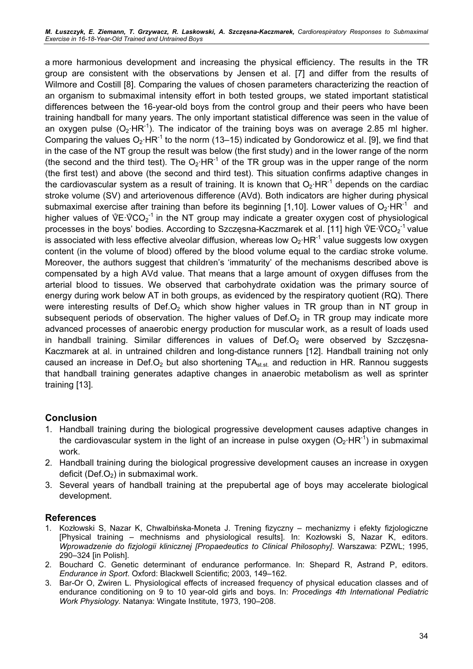a more harmonious development and increasing the physical efficiency. The results in the TR group are consistent with the observations by Jensen et al. [7] and differ from the results of Wilmore and Costill [8]. Comparing the values of chosen parameters characterizing the reaction of an organism to submaximal intensity effort in both tested groups, we stated important statistical differences between the 16-year-old boys from the control group and their peers who have been training handball for many years. The only important statistical difference was seen in the value of an oxygen pulse  $(O_2$ ·HR<sup>-1</sup>). The indicator of the training boys was on average 2.85 ml higher. Comparing the values  $O_2$ ·HR<sup>-1</sup> to the norm (13–15) indicated by Gondorowicz et al. [9], we find that in the case of the NT group the result was below (the first study) and in the lower range of the norm (the second and the third test). The  $O_2$ ·HR<sup>-1</sup> of the TR group was in the upper range of the norm (the first test) and above (the second and third test). This situation confirms adaptive changes in the cardiovascular system as a result of training. It is known that  $O_2$ ·HR<sup>-1</sup> depends on the cardiac stroke volume (SV) and arteriovenous difference (AVd). Both indicators are higher during physical submaximal exercise after training than before its beginning [1,10]. Lower values of  $O_2$ ·HR<sup>-1</sup> and higher values of  $\sqrt{$ submaximal exercise after training than before its beginning [1,10]. Lower values of  $O_2$ ·HR<sup>-1</sup> and  $CO_2^{-1}$  in the NT group may indicate a greater oxygen cost of physiological<br>the first constitution of the conserved in the state of the sign in the state of the state of the state of the state of the state of the state o submaximal exercise after training than before its beginning [1,10]. Lower values of O<br>higher values of  $\sqrt[6]{E\cdot \sqrt[6]{CO_2}^{-1}}$  in the NT group may indicate a greater oxygen cost of pl<br>processes in the boys' bodies. Accord  $CO<sub>2</sub><sup>-1</sup>$  value is associated with less effective alveolar diffusion, whereas low  $O_2$ ·HR<sup>-1</sup> value suggests low oxygen content (in the volume of blood) offered by the blood volume equal to the cardiac stroke volume. Moreover, the authors suggest that children's 'immaturity' of the mechanisms described above is compensated by a high AVd value. That means that a large amount of oxygen diffuses from the arterial blood to tissues. We observed that carbohydrate oxidation was the primary source of energy during work below AT in both groups, as evidenced by the respiratory quotient (RQ). There were interesting results of Def. $O<sub>2</sub>$  which show higher values in TR group than in NT group in subsequent periods of observation. The higher values of Def. $O<sub>2</sub>$  in TR group may indicate more advanced processes of anaerobic energy production for muscular work, as a result of loads used in handball training. Similar differences in values of  $Def.O<sub>2</sub>$  were observed by Szczęsna-Kaczmarek at al. in untrained children and long-distance runners [12]. Handball training not only caused an increase in Def.O<sub>2</sub> but also shortening  $TA_{st, st}$  and reduction in HR. Rannou suggests that handball training generates adaptive changes in anaerobic metabolism as well as sprinter training [13].

### Conclusion

- 1. Handball training during the biological progressive development causes adaptive changes in the cardiovascular system in the light of an increase in pulse oxygen  $(O_2 \cdot HR^{-1})$  in submaximal work.
- 2. Handball training during the biological progressive development causes an increase in oxygen deficit (Def.O<sub>2</sub>) in submaximal work.
- 3. Several years of handball training at the prepubertal age of boys may accelerate biological development.

#### References

- 1. Kozłowski S, Nazar K, Chwalbińska-Moneta J. Trening fizyczny mechanizmy i efekty fizjologiczne [Physical training – mechnisms and physiological results]. In: Kozłowski S, Nazar K, editors. Wprowadzenie do fizjologii klinicznej [Propaedeutics to Clinical Philosophy]. Warszawa: PZWL; 1995, 290–324 [in Polish].
- 2. Bouchard C. Genetic determinant of endurance performance. In: Shepard R, Astrand P, editors. Endurance in Sport. Oxford: Blackwell Scientific; 2003, 149–162.
- 3. Bar-Or O, Zwiren L. Physiological effects of increased frequency of physical education classes and of endurance conditioning on 9 to 10 year-old girls and boys. In: Procedings 4th International Pediatric Work Physiology. Natanya: Wingate Institute, 1973, 190–208.